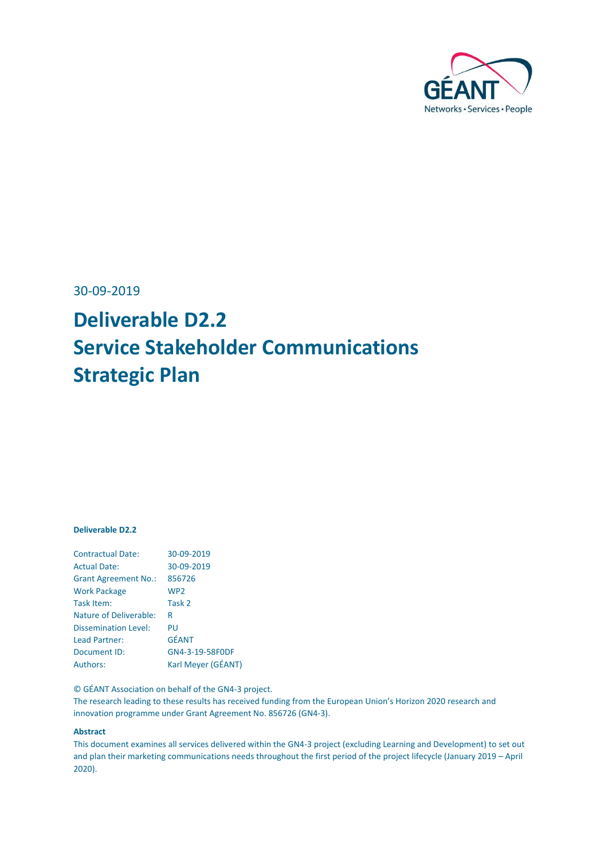

30-09-2019

# **Deliverable D2.2 Service Stakeholder Communications Strategic Plan**

#### **Deliverable D2.2**

| <b>Contractual Date:</b>      | 30-09-2019         |
|-------------------------------|--------------------|
| <b>Actual Date:</b>           | 30-09-2019         |
| <b>Grant Agreement No.:</b>   | 856726             |
| <b>Work Package</b>           | WP <sub>2</sub>    |
| Task Item:                    | Task 2             |
| <b>Nature of Deliverable:</b> | R                  |
| <b>Dissemination Level:</b>   | PU                 |
| Lead Partner:                 | <b>GÉANT</b>       |
| Document ID:                  | GN4-3-19-58F0DF    |
| Authors:                      | Karl Meyer (GÉANT) |

© GÉANT Association on behalf of the GN4-3 project.

The research leading to these results has received funding from the European Union's Horizon 2020 research and innovation programme under Grant Agreement No. 856726 (GN4-3).

#### **Abstract**

This document examines all services delivered within the GN4-3 project (excluding Learning and Development) to set out and plan their marketing communications needs throughout the first period of the project lifecycle (January 2019 – April 2020).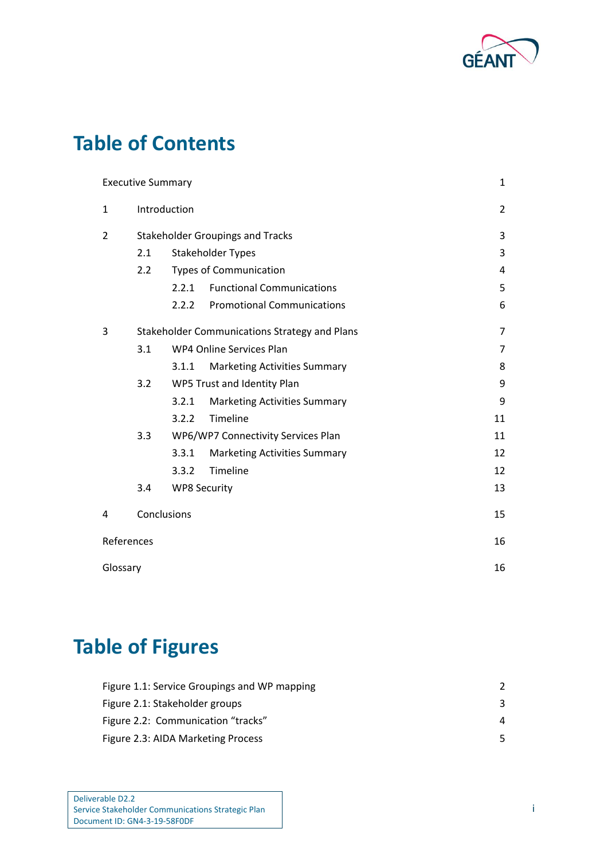

# **Table of Contents**

|                | <b>Executive Summary</b>                |                     |                                               | $\mathbf{1}$   |  |
|----------------|-----------------------------------------|---------------------|-----------------------------------------------|----------------|--|
| $\mathbf{1}$   | Introduction                            |                     |                                               | $\overline{2}$ |  |
| $\overline{2}$ |                                         |                     | <b>Stakeholder Groupings and Tracks</b>       | 3              |  |
|                | 2.1                                     |                     | <b>Stakeholder Types</b>                      | 3              |  |
|                | 2.2                                     |                     | <b>Types of Communication</b>                 | 4              |  |
|                |                                         | 2.2.1               | <b>Functional Communications</b>              | 5              |  |
|                |                                         | 2.2.2               | <b>Promotional Communications</b>             | 6              |  |
| 3              |                                         |                     | Stakeholder Communications Strategy and Plans | $\overline{7}$ |  |
|                | WP4 Online Services Plan<br>3.1         |                     | 7                                             |                |  |
|                |                                         | 3.1.1               | <b>Marketing Activities Summary</b>           | 8              |  |
|                | 3.2<br>9<br>WP5 Trust and Identity Plan |                     |                                               |                |  |
|                |                                         | 3.2.1               | <b>Marketing Activities Summary</b>           | 9              |  |
|                |                                         | 3.2.2               | Timeline                                      | 11             |  |
|                | 3.3                                     |                     | WP6/WP7 Connectivity Services Plan            | 11             |  |
|                |                                         | 3.3.1               | <b>Marketing Activities Summary</b>           | 12             |  |
|                |                                         | 3.3.2               | Timeline                                      | 12             |  |
|                | 3.4                                     | <b>WP8 Security</b> |                                               | 13             |  |
| 4              | Conclusions                             |                     |                                               | 15             |  |
| References     |                                         |                     |                                               | 16             |  |
| Glossary       |                                         |                     |                                               | 16             |  |

# **Table of Figures**

| Figure 1.1: Service Groupings and WP mapping |    |
|----------------------------------------------|----|
| Figure 2.1: Stakeholder groups               | 3  |
| Figure 2.2: Communication "tracks"           | 4  |
| Figure 2.3: AIDA Marketing Process           | 5. |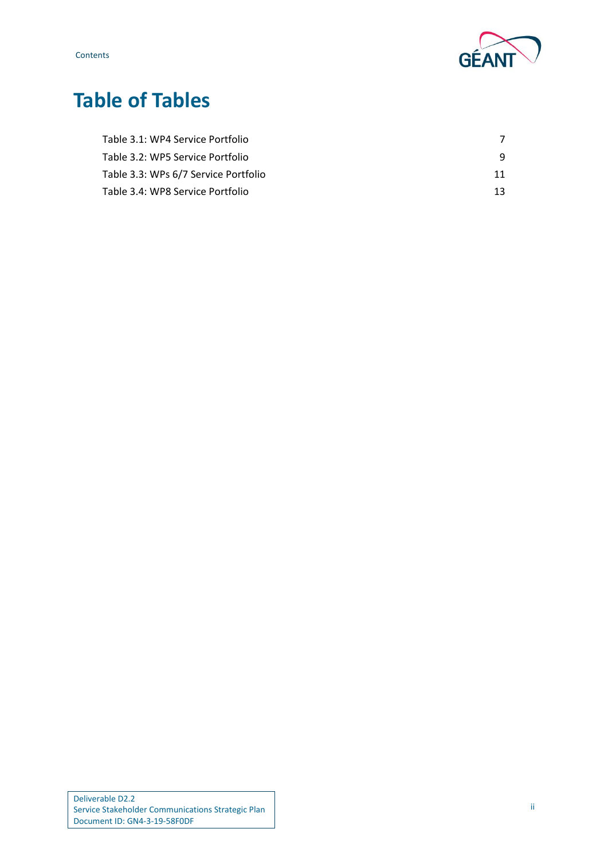

# **Table of Tables**

| Table 3.1: WP4 Service Portfolio     |    |
|--------------------------------------|----|
| Table 3.2: WP5 Service Portfolio     |    |
| Table 3.3: WPs 6/7 Service Portfolio | 11 |
| Table 3.4: WP8 Service Portfolio     | 13 |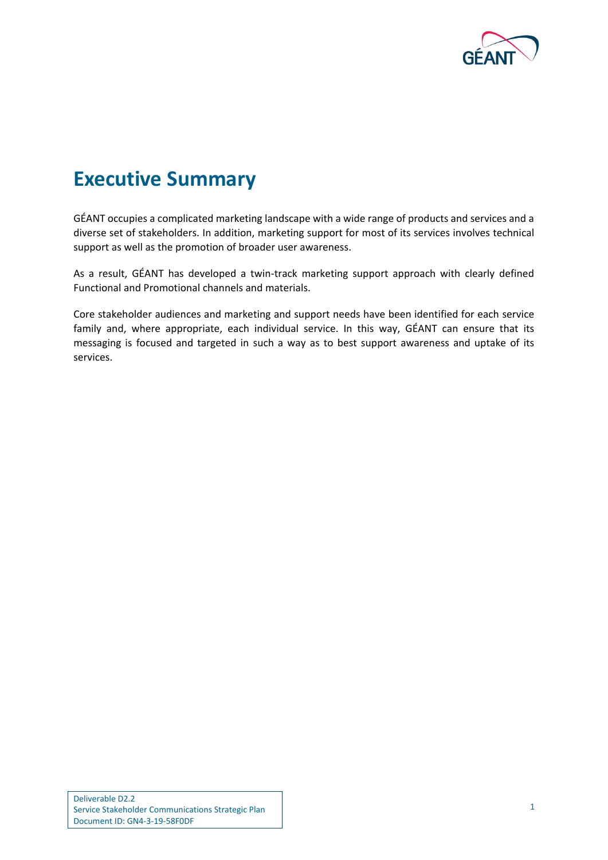

# <span id="page-3-0"></span>**Executive Summary**

GÉANT occupies a complicated marketing landscape with a wide range of products and services and a diverse set of stakeholders. In addition, marketing support for most of its services involves technical support as well as the promotion of broader user awareness.

As a result, GÉANT has developed a twin-track marketing support approach with clearly defined Functional and Promotional channels and materials.

Core stakeholder audiences and marketing and support needs have been identified for each service family and, where appropriate, each individual service. In this way, GÉANT can ensure that its messaging is focused and targeted in such a way as to best support awareness and uptake of its services.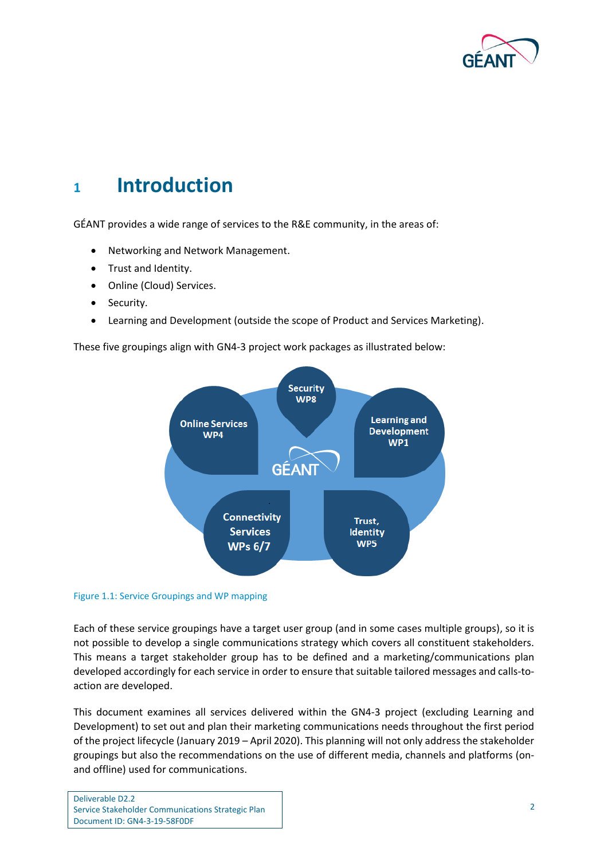

# <span id="page-4-0"></span>**<sup>1</sup> Introduction**

GÉANT provides a wide range of services to the R&E community, in the areas of:

- Networking and Network Management.
- Trust and Identity.
- Online (Cloud) Services.
- Security.
- Learning and Development (outside the scope of Product and Services Marketing).

These five groupings align with GN4-3 project work packages as illustrated below:



#### <span id="page-4-1"></span>Figure 1.1: Service Groupings and WP mapping

Each of these service groupings have a target user group (and in some cases multiple groups), so it is not possible to develop a single communications strategy which covers all constituent stakeholders. This means a target stakeholder group has to be defined and a marketing/communications plan developed accordingly for each service in order to ensure that suitable tailored messages and calls-toaction are developed.

This document examines all services delivered within the GN4-3 project (excluding Learning and Development) to set out and plan their marketing communications needs throughout the first period of the project lifecycle (January 2019 – April 2020). This planning will not only address the stakeholder groupings but also the recommendations on the use of different media, channels and platforms (onand offline) used for communications.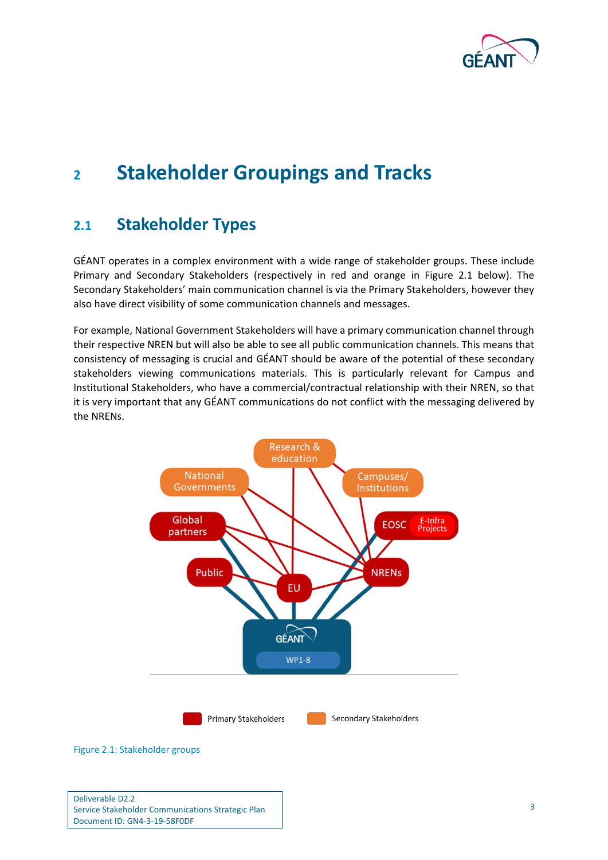

# <span id="page-5-0"></span>**<sup>2</sup> Stakeholder Groupings and Tracks**

## <span id="page-5-1"></span>**2.1 Stakeholder Types**

GÉANT operates in a complex environment with a wide range of stakeholder groups. These include Primary and Secondary Stakeholders (respectively in red and orange in [Figure 2.1](#page-5-2) below). The Secondary Stakeholders' main communication channel is via the Primary Stakeholders, however they also have direct visibility of some communication channels and messages.

For example, National Government Stakeholders will have a primary communication channel through their respective NREN but will also be able to see all public communication channels. This means that consistency of messaging is crucial and GÉANT should be aware of the potential of these secondary stakeholders viewing communications materials. This is particularly relevant for Campus and Institutional Stakeholders, who have a commercial/contractual relationship with their NREN, so that it is very important that any GÉANT communications do not conflict with the messaging delivered by the NRENs.



<span id="page-5-2"></span>Figure 2.1: Stakeholder groups

Deliverable D2.2 Service Stakeholder Communications Strategic Plan Document ID: GN4-3-19-58F0DF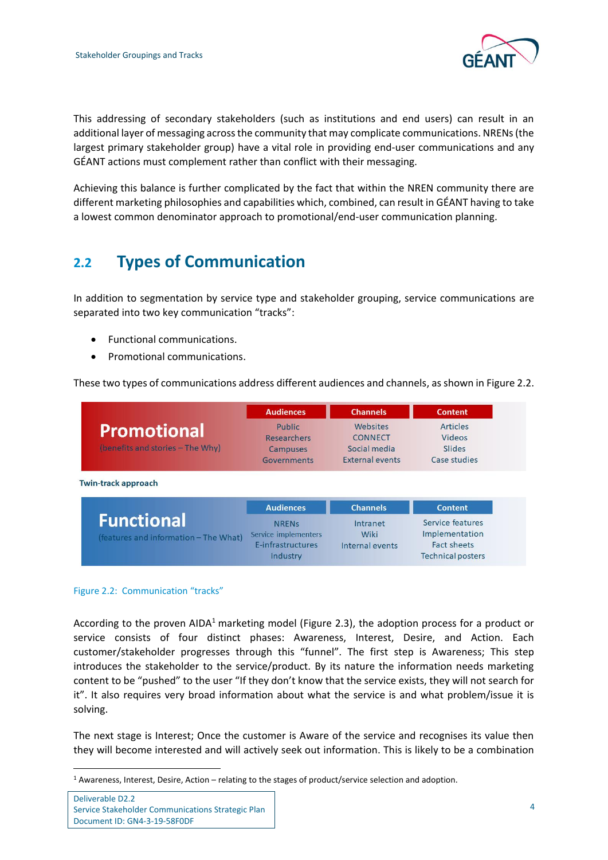

This addressing of secondary stakeholders (such as institutions and end users) can result in an additional layer of messaging across the community that may complicate communications. NRENs (the largest primary stakeholder group) have a vital role in providing end-user communications and any GÉANT actions must complement rather than conflict with their messaging.

Achieving this balance is further complicated by the fact that within the NREN community there are different marketing philosophies and capabilities which, combined, can result in GÉANT having to take a lowest common denominator approach to promotional/end-user communication planning.

# <span id="page-6-0"></span>**2.2 Types of Communication**

In addition to segmentation by service type and stakeholder grouping, service communications are separated into two key communication "tracks":

- Functional communications.
- Promotional communications.

These two types of communications address different audiences and channels, as shown i[n Figure 2.2.](#page-6-1)

|                                                        | <b>Audiences</b>                                        | <b>Channels</b>                                               | <b>Content</b>                               |
|--------------------------------------------------------|---------------------------------------------------------|---------------------------------------------------------------|----------------------------------------------|
| <b>Promotional</b><br>(benefits and stories - The Why) | Public<br><b>Researchers</b><br>Campuses<br>Governments | Websites<br><b>CONNECT</b><br>Social media<br>External events | Articles<br>Videos<br>Slides<br>Case studies |
| <b>Twin-track approach</b>                             |                                                         |                                                               |                                              |
|                                                        | <b>Audiences</b>                                        | <b>Channels</b>                                               | Content                                      |

|                                       | <b>Augicities</b>       | <b>Channels</b> | Content                  |
|---------------------------------------|-------------------------|-----------------|--------------------------|
| <b>Functional</b>                     | <b>NRFN<sub>S</sub></b> | Intranet        | Service features         |
| (features and information - The What) | Service implementers    | Wiki            | Implementation           |
|                                       | E-infrastructures       | Internal events | Fact sheets              |
|                                       | Industry                |                 | <b>Technical posters</b> |

#### <span id="page-6-1"></span>Figure 2.2: Communication "tracks"

According to the proven AIDA<sup>1</sup> marketing model [\(Figure 2.3\)](#page-7-1), the adoption process for a product or service consists of four distinct phases: Awareness, Interest, Desire, and Action. Each customer/stakeholder progresses through this "funnel". The first step is Awareness; This step introduces the stakeholder to the service/product. By its nature the information needs marketing content to be "pushed" to the user "If they don't know that the service exists, they will not search for it". It also requires very broad information about what the service is and what problem/issue it is solving.

The next stage is Interest; Once the customer is Aware of the service and recognises its value then they will become interested and will actively seek out information. This is likely to be a combination

 $1$  Awareness, Interest, Desire, Action – relating to the stages of product/service selection and adoption.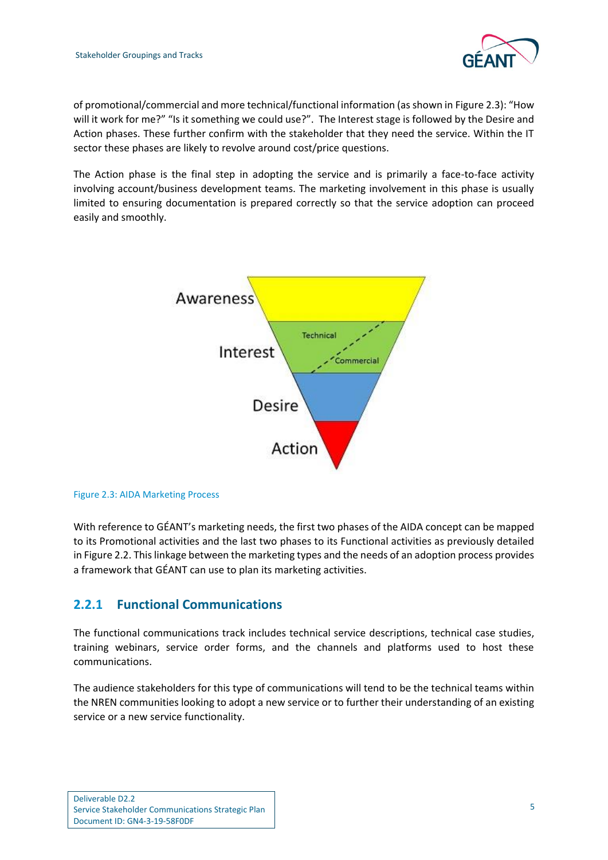

of promotional/commercial and more technical/functional information (as shown in [Figure 2.3\)](#page-7-1): "How will it work for me?" "Is it something we could use?". The Interest stage is followed by the Desire and Action phases. These further confirm with the stakeholder that they need the service. Within the IT sector these phases are likely to revolve around cost/price questions.

The Action phase is the final step in adopting the service and is primarily a face-to-face activity involving account/business development teams. The marketing involvement in this phase is usually limited to ensuring documentation is prepared correctly so that the service adoption can proceed easily and smoothly.



<span id="page-7-1"></span>

With reference to GÉANT's marketing needs, the first two phases of the AIDA concept can be mapped to its Promotional activities and the last two phases to its Functional activities as previously detailed in Figure 2.2. This linkage between the marketing types and the needs of an adoption process provides a framework that GÉANT can use to plan its marketing activities.

### <span id="page-7-0"></span>**2.2.1 Functional Communications**

The functional communications track includes technical service descriptions, technical case studies, training webinars, service order forms, and the channels and platforms used to host these communications.

The audience stakeholders for this type of communications will tend to be the technical teams within the NREN communities looking to adopt a new service or to further their understanding of an existing service or a new service functionality.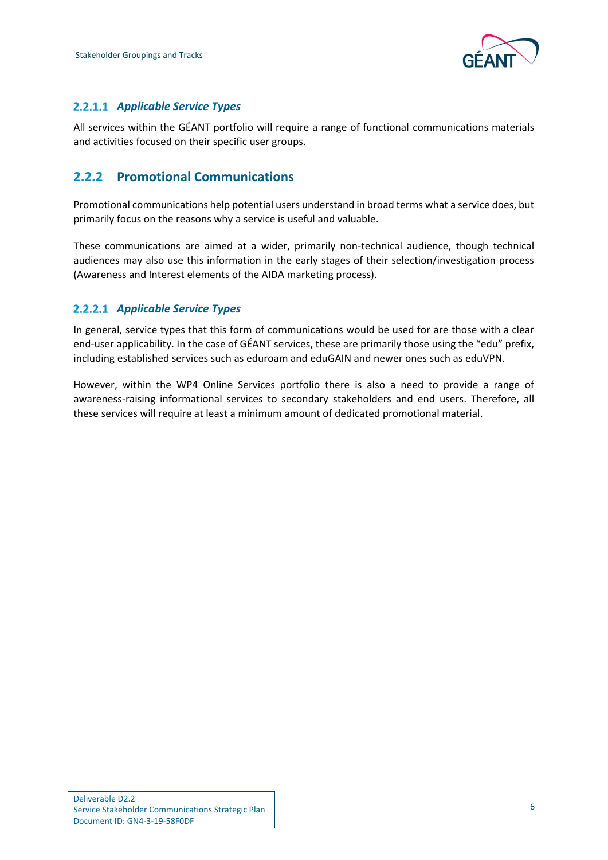

### *Applicable Service Types*

All services within the GÉANT portfolio will require a range of functional communications materials and activities focused on their specific user groups.

## <span id="page-8-0"></span>**2.2.2 Promotional Communications**

Promotional communications help potential users understand in broad terms what a service does, but primarily focus on the reasons why a service is useful and valuable.

These communications are aimed at a wider, primarily non-technical audience, though technical audiences may also use this information in the early stages of their selection/investigation process (Awareness and Interest elements of the AIDA marketing process).

### *Applicable Service Types*

In general, service types that this form of communications would be used for are those with a clear end-user applicability. In the case of GÉANT services, these are primarily those using the "edu" prefix, including established services such as eduroam and eduGAIN and newer ones such as eduVPN.

However, within the WP4 Online Services portfolio there is also a need to provide a range of awareness-raising informational services to secondary stakeholders and end users. Therefore, all these services will require at least a minimum amount of dedicated promotional material.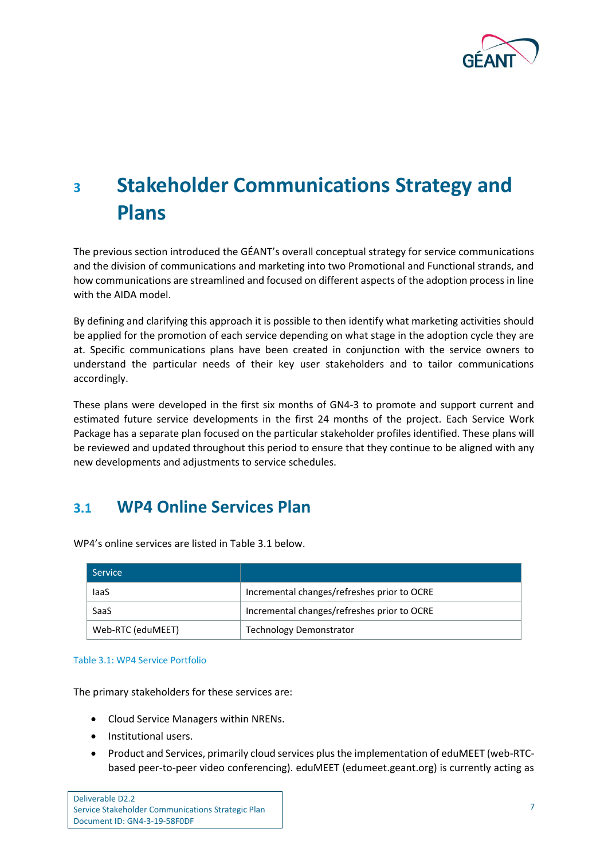

# <span id="page-9-0"></span>**<sup>3</sup> Stakeholder Communications Strategy and Plans**

The previous section introduced the GÉANT's overall conceptual strategy for service communications and the division of communications and marketing into two Promotional and Functional strands, and how communications are streamlined and focused on different aspects of the adoption process in line with the AIDA model.

By defining and clarifying this approach it is possible to then identify what marketing activities should be applied for the promotion of each service depending on what stage in the adoption cycle they are at. Specific communications plans have been created in conjunction with the service owners to understand the particular needs of their key user stakeholders and to tailor communications accordingly.

These plans were developed in the first six months of GN4-3 to promote and support current and estimated future service developments in the first 24 months of the project. Each Service Work Package has a separate plan focused on the particular stakeholder profiles identified. These plans will be reviewed and updated throughout this period to ensure that they continue to be aligned with any new developments and adjustments to service schedules.

## <span id="page-9-1"></span>**3.1 WP4 Online Services Plan**

| <b>Service</b>    |                                             |
|-------------------|---------------------------------------------|
| laaS              | Incremental changes/refreshes prior to OCRE |
| SaaS              | Incremental changes/refreshes prior to OCRE |
| Web-RTC (eduMEET) | <b>Technology Demonstrator</b>              |

WP4's online services are listed i[n Table 3.1](#page-9-2) below.

#### <span id="page-9-2"></span>Table 3.1: WP4 Service Portfolio

The primary stakeholders for these services are:

- Cloud Service Managers within NRENs.
- Institutional users.
- Product and Services, primarily cloud services plus the implementation of eduMEET (web-RTCbased peer-to-peer video conferencing). eduMEET (edumeet.geant.org) is currently acting as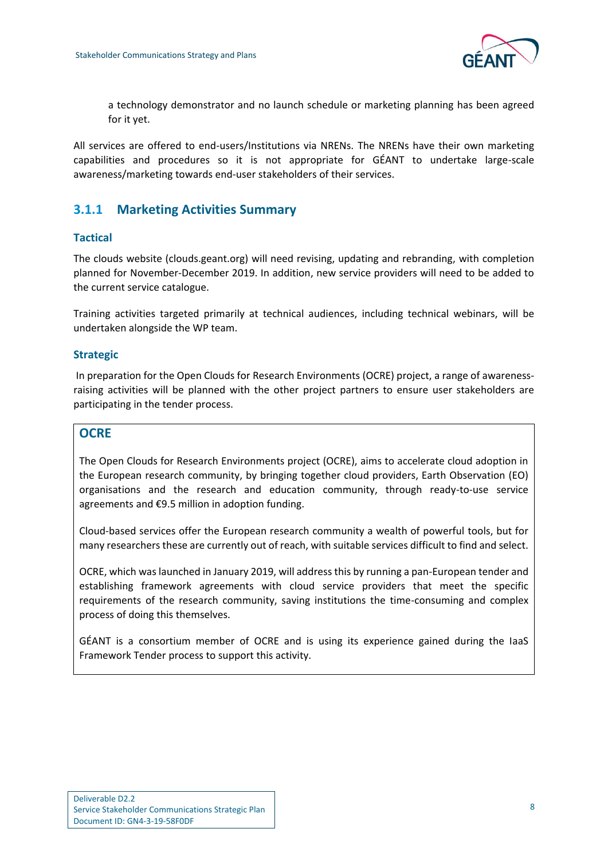

a technology demonstrator and no launch schedule or marketing planning has been agreed for it yet.

All services are offered to end-users/Institutions via NRENs. The NRENs have their own marketing capabilities and procedures so it is not appropriate for GÉANT to undertake large-scale awareness/marketing towards end-user stakeholders of their services.

### <span id="page-10-0"></span>**3.1.1 Marketing Activities Summary**

#### **Tactical**

The clouds website (clouds.geant.org) will need revising, updating and rebranding, with completion planned for November-December 2019. In addition, new service providers will need to be added to the current service catalogue.

Training activities targeted primarily at technical audiences, including technical webinars, will be undertaken alongside the WP team.

#### **Strategic**

In preparation for the Open Clouds for Research Environments (OCRE) project, a range of awarenessraising activities will be planned with the other project partners to ensure user stakeholders are participating in the tender process.

#### **OCRE**

The Open Clouds for Research Environments project (OCRE), aims to accelerate cloud adoption in the European research community, by bringing together cloud providers, Earth Observation (EO) organisations and the research and education community, through ready-to-use service agreements and €9.5 million in adoption funding.

Cloud-based services offer the European research community a wealth of powerful tools, but for many researchers these are currently out of reach, with suitable services difficult to find and select.

OCRE, which was launched in January 2019, will address this by running a pan-European tender and establishing framework agreements with cloud service providers that meet the specific requirements of the research community, saving institutions the time-consuming and complex process of doing this themselves.

GÉANT is a consortium member of OCRE and is using its experience gained during the IaaS Framework Tender process to support this activity.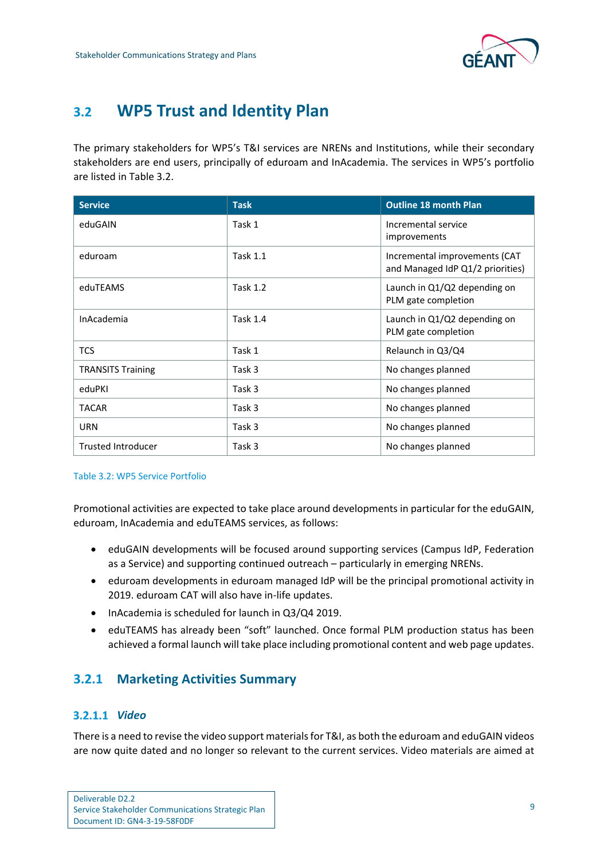

# <span id="page-11-0"></span>**3.2 WP5 Trust and Identity Plan**

The primary stakeholders for WP5's T&I services are NRENs and Institutions, while their secondary stakeholders are end users, principally of eduroam and InAcademia. The services in WP5's portfolio are listed i[n Table 3.2.](#page-11-2)

| <b>Service</b>            | <b>Task</b>     | <b>Outline 18 month Plan</b>                                      |
|---------------------------|-----------------|-------------------------------------------------------------------|
| eduGAIN                   | Task 1          | Incremental service<br>improvements                               |
| eduroam                   | <b>Task 1.1</b> | Incremental improvements (CAT<br>and Managed IdP Q1/2 priorities) |
| eduTEAMS                  | <b>Task 1.2</b> | Launch in Q1/Q2 depending on<br>PLM gate completion               |
| <b>InAcademia</b>         | <b>Task 1.4</b> | Launch in Q1/Q2 depending on<br>PLM gate completion               |
| <b>TCS</b>                | Task 1          | Relaunch in Q3/Q4                                                 |
| <b>TRANSITS Training</b>  | Task 3          | No changes planned                                                |
| eduPKI                    | Task 3          | No changes planned                                                |
| <b>TACAR</b>              | Task 3          | No changes planned                                                |
| <b>URN</b>                | Task 3          | No changes planned                                                |
| <b>Trusted Introducer</b> | Task 3          | No changes planned                                                |

#### <span id="page-11-2"></span>Table 3.2: WP5 Service Portfolio

Promotional activities are expected to take place around developments in particular for the eduGAIN, eduroam, InAcademia and eduTEAMS services, as follows:

- eduGAIN developments will be focused around supporting services (Campus IdP, Federation as a Service) and supporting continued outreach – particularly in emerging NRENs.
- eduroam developments in eduroam managed IdP will be the principal promotional activity in 2019. eduroam CAT will also have in-life updates.
- InAcademia is scheduled for launch in Q3/Q4 2019.
- eduTEAMS has already been "soft" launched. Once formal PLM production status has been achieved a formal launch will take place including promotional content and web page updates.

### <span id="page-11-1"></span>**3.2.1 Marketing Activities Summary**

#### *Video*

There is a need to revise the video support materials for T&I, as both the eduroam and eduGAIN videos are now quite dated and no longer so relevant to the current services. Video materials are aimed at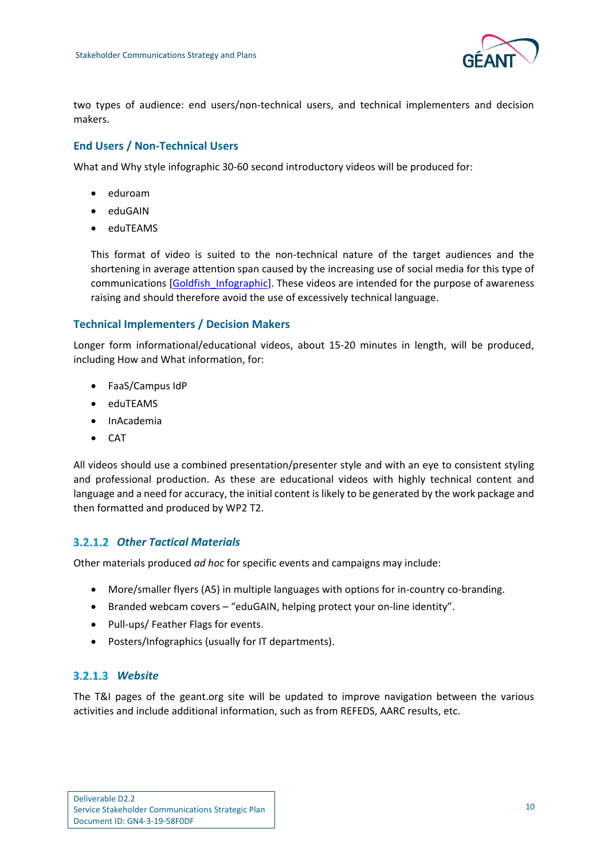

two types of audience: end users/non-technical users, and technical implementers and decision makers.

#### **End Users / Non-Technical Users**

What and Why style infographic 30-60 second introductory videos will be produced for:

- eduroam
- eduGAIN
- eduTEAMS

This format of video is suited to the non-technical nature of the target audiences and the shortening in average attention span caused by the increasing use of social media for this type of communications [\[Goldfish\\_Infographic\]](#page-18-2). These videos are intended for the purpose of awareness raising and should therefore avoid the use of excessively technical language.

#### **Technical Implementers / Decision Makers**

Longer form informational/educational videos, about 15-20 minutes in length, will be produced, including How and What information, for:

- FaaS/Campus IdP
- eduTEAMS
- InAcademia
- CAT

All videos should use a combined presentation/presenter style and with an eye to consistent styling and professional production. As these are educational videos with highly technical content and language and a need for accuracy, the initial content is likely to be generated by the work package and then formatted and produced by WP2 T2.

#### *Other Tactical Materials*

Other materials produced *ad hoc* for specific events and campaigns may include:

- More/smaller flyers (A5) in multiple languages with options for in-country co-branding.
- Branded webcam covers "eduGAIN, helping protect your on-line identity".
- Pull-ups/ Feather Flags for events.
- Posters/Infographics (usually for IT departments).

#### *Website*

The T&I pages of the geant.org site will be updated to improve navigation between the various activities and include additional information, such as from REFEDS, AARC results, etc.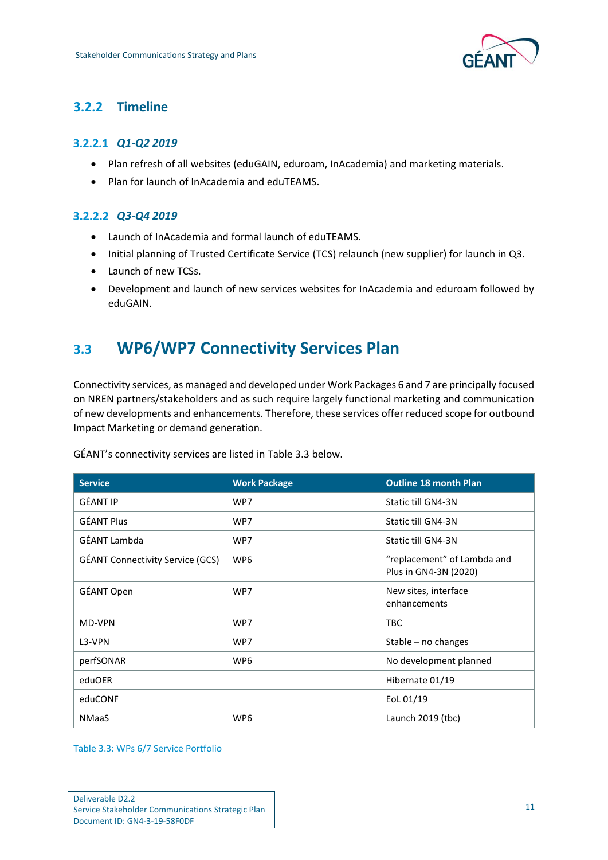

## <span id="page-13-0"></span>**3.2.2 Timeline**

### *Q1-Q2 2019*

- Plan refresh of all websites (eduGAIN, eduroam, InAcademia) and marketing materials.
- Plan for launch of InAcademia and eduTEAMS.

### *Q3-Q4 2019*

- Launch of InAcademia and formal launch of eduTEAMS.
- Initial planning of Trusted Certificate Service (TCS) relaunch (new supplier) for launch in Q3.
- Launch of new TCSs.
- Development and launch of new services websites for InAcademia and eduroam followed by eduGAIN.

# <span id="page-13-1"></span>**3.3 WP6/WP7 Connectivity Services Plan**

Connectivity services, as managed and developed under Work Packages 6 and 7 are principally focused on NREN partners/stakeholders and as such require largely functional marketing and communication of new developments and enhancements. Therefore, these services offer reduced scope for outbound Impact Marketing or demand generation.

| <b>Service</b>                          | <b>Work Package</b> | <b>Outline 18 month Plan</b>                         |
|-----------------------------------------|---------------------|------------------------------------------------------|
| GÉANT IP                                | WP7                 | Static till GN4-3N                                   |
| <b>GÉANT Plus</b>                       | WP7                 | Static till GN4-3N                                   |
| GÉANT Lambda                            | WP7                 | Static till GN4-3N                                   |
| <b>GÉANT Connectivity Service (GCS)</b> | WP <sub>6</sub>     | "replacement" of Lambda and<br>Plus in GN4-3N (2020) |
| GÉANT Open                              | WP7                 | New sites, interface<br>enhancements                 |
| MD-VPN                                  | WP7                 | <b>TBC</b>                                           |
| L3-VPN                                  | WP7                 | Stable $-$ no changes                                |
| perfSONAR                               | WP <sub>6</sub>     | No development planned                               |
| eduOER                                  |                     | Hibernate 01/19                                      |
| eduCONF                                 |                     | EoL 01/19                                            |
| <b>NMaaS</b>                            | WP <sub>6</sub>     | Launch $2019$ (tbc)                                  |

GÉANT's connectivity services are listed in [Table 3.3](#page-13-2) below.

<span id="page-13-2"></span>Table 3.3: WPs 6/7 Service Portfolio

| Deliverable D2.2                                  |
|---------------------------------------------------|
| Service Stakeholder Communications Strategic Plan |
| Document ID: GN4-3-19-58F0DF                      |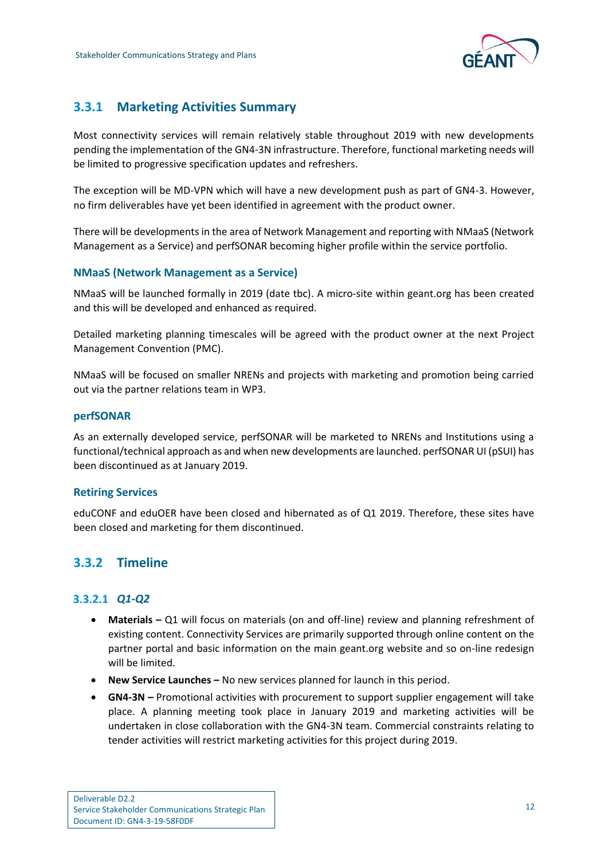

## <span id="page-14-0"></span>**3.3.1 Marketing Activities Summary**

Most connectivity services will remain relatively stable throughout 2019 with new developments pending the implementation of the GN4-3N infrastructure. Therefore, functional marketing needs will be limited to progressive specification updates and refreshers.

The exception will be MD-VPN which will have a new development push as part of GN4-3. However, no firm deliverables have yet been identified in agreement with the product owner.

There will be developments in the area of Network Management and reporting with NMaaS (Network Management as a Service) and perfSONAR becoming higher profile within the service portfolio.

#### **NMaaS (Network Management as a Service)**

NMaaS will be launched formally in 2019 (date tbc). A micro-site within geant.org has been created and this will be developed and enhanced as required.

Detailed marketing planning timescales will be agreed with the product owner at the next Project Management Convention (PMC).

NMaaS will be focused on smaller NRENs and projects with marketing and promotion being carried out via the partner relations team in WP3.

#### **perfSONAR**

As an externally developed service, perfSONAR will be marketed to NRENs and Institutions using a functional/technical approach as and when new developments are launched. perfSONAR UI (pSUI) has been discontinued as at January 2019.

#### **Retiring Services**

eduCONF and eduOER have been closed and hibernated as of Q1 2019. Therefore, these sites have been closed and marketing for them discontinued.

### <span id="page-14-1"></span>**3.3.2 Timeline**

#### *Q1-Q2*

- **Materials –** Q1 will focus on materials (on and off-line) review and planning refreshment of existing content. Connectivity Services are primarily supported through online content on the partner portal and basic information on the main geant.org website and so on-line redesign will be limited.
- **New Service Launches –** No new services planned for launch in this period.
- **GN4-3N –** Promotional activities with procurement to support supplier engagement will take place. A planning meeting took place in January 2019 and marketing activities will be undertaken in close collaboration with the GN4-3N team. Commercial constraints relating to tender activities will restrict marketing activities for this project during 2019.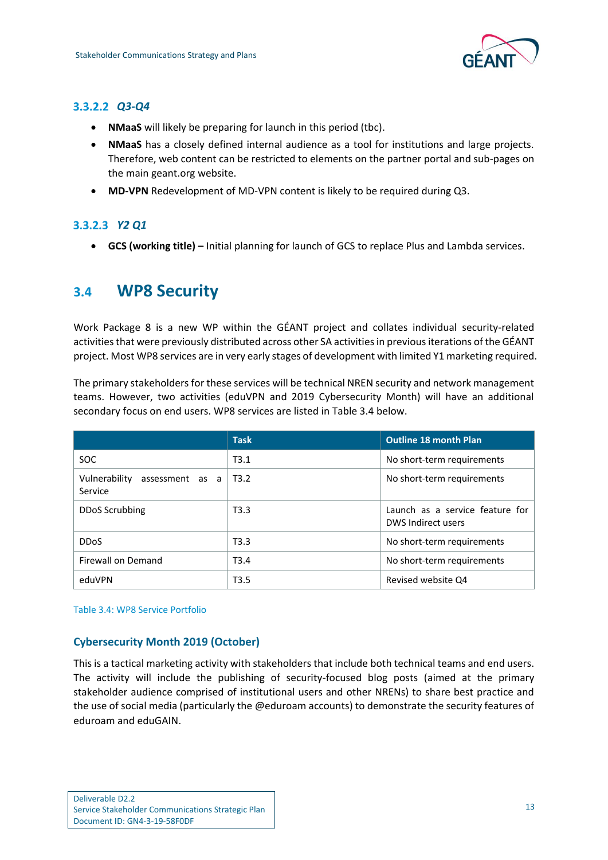

### *Q3-Q4*

- **NMaaS** will likely be preparing for launch in this period (tbc).
- **NMaaS** has a closely defined internal audience as a tool for institutions and large projects. Therefore, web content can be restricted to elements on the partner portal and sub-pages on the main geant.org website.
- **MD-VPN** Redevelopment of MD-VPN content is likely to be required during Q3.

### *Y2 Q1*

• **GCS (working title) –** Initial planning for launch of GCS to replace Plus and Lambda services.

## <span id="page-15-0"></span>**3.4 WP8 Security**

Work Package 8 is a new WP within the GÉANT project and collates individual security-related activities that were previously distributed across other SA activities in previous iterations of the GÉANT project. Most WP8 services are in very early stages of development with limited Y1 marketing required.

The primary stakeholders for these services will be technical NREN security and network management teams. However, two activities (eduVPN and 2019 Cybersecurity Month) will have an additional secondary focus on end users. WP8 services are listed in [Table 3.4](#page-15-1) below.

|                                             | <b>Task</b>      | <b>Outline 18 month Plan</b>                          |
|---------------------------------------------|------------------|-------------------------------------------------------|
| <b>SOC</b>                                  | T3.1             | No short-term requirements                            |
| Vulnerability<br>assessment as a<br>Service | T3.2             | No short-term requirements                            |
| DDoS Scrubbing                              | T3.3             | Launch as a service feature for<br>DWS Indirect users |
| <b>DDoS</b>                                 | T3.3             | No short-term requirements                            |
| Firewall on Demand                          | T <sub>3.4</sub> | No short-term requirements                            |
| eduVPN                                      | T <sub>3.5</sub> | Revised website Q4                                    |

<span id="page-15-1"></span>Table 3.4: WP8 Service Portfolio

### **Cybersecurity Month 2019 (October)**

This is a tactical marketing activity with stakeholders that include both technical teams and end users. The activity will include the publishing of security-focused blog posts (aimed at the primary stakeholder audience comprised of institutional users and other NRENs) to share best practice and the use of social media (particularly the @eduroam accounts) to demonstrate the security features of eduroam and eduGAIN.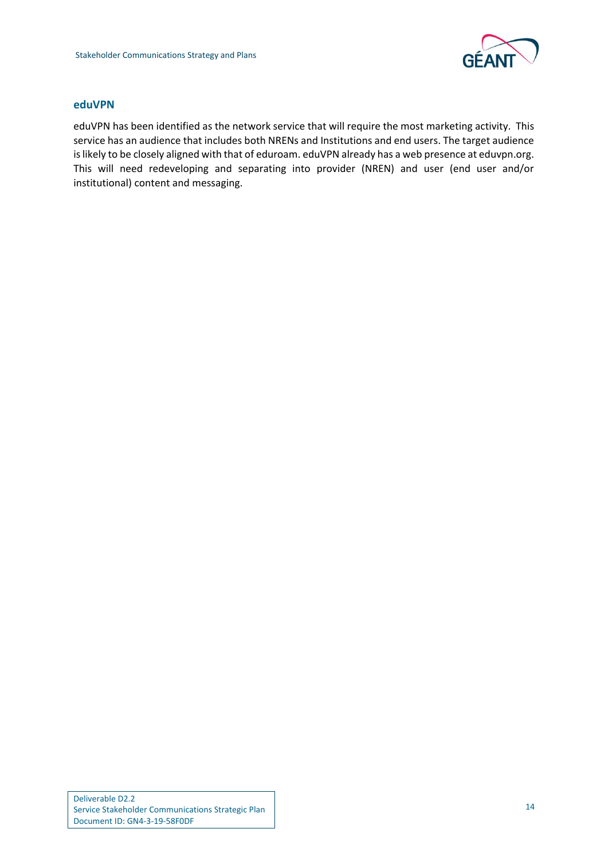

#### **eduVPN**

eduVPN has been identified as the network service that will require the most marketing activity. This service has an audience that includes both NRENs and Institutions and end users. The target audience is likely to be closely aligned with that of eduroam. eduVPN already has a web presence at eduvpn.org. This will need redeveloping and separating into provider (NREN) and user (end user and/or institutional) content and messaging.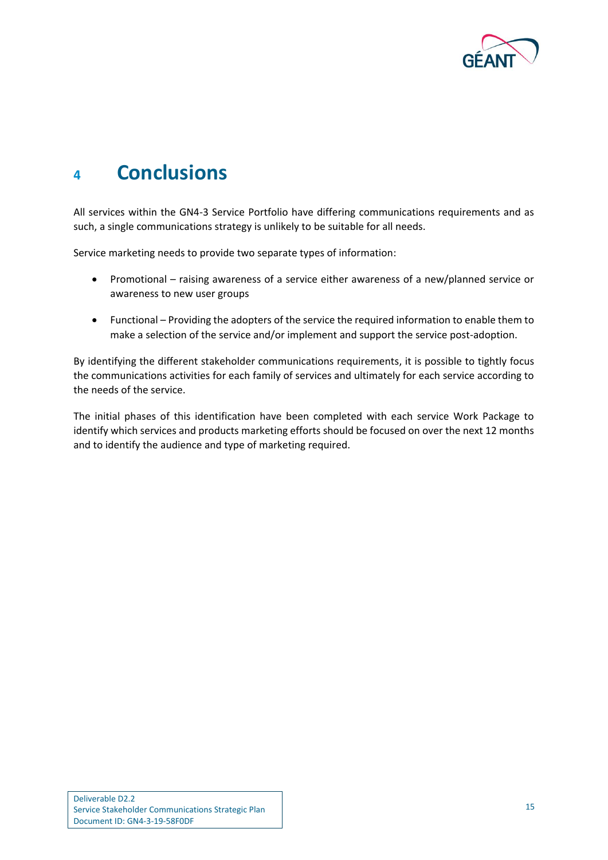

# <span id="page-17-0"></span>**<sup>4</sup> Conclusions**

All services within the GN4-3 Service Portfolio have differing communications requirements and as such, a single communications strategy is unlikely to be suitable for all needs.

Service marketing needs to provide two separate types of information:

- Promotional raising awareness of a service either awareness of a new/planned service or awareness to new user groups
- Functional Providing the adopters of the service the required information to enable them to make a selection of the service and/or implement and support the service post-adoption.

By identifying the different stakeholder communications requirements, it is possible to tightly focus the communications activities for each family of services and ultimately for each service according to the needs of the service.

The initial phases of this identification have been completed with each service Work Package to identify which services and products marketing efforts should be focused on over the next 12 months and to identify the audience and type of marketing required.